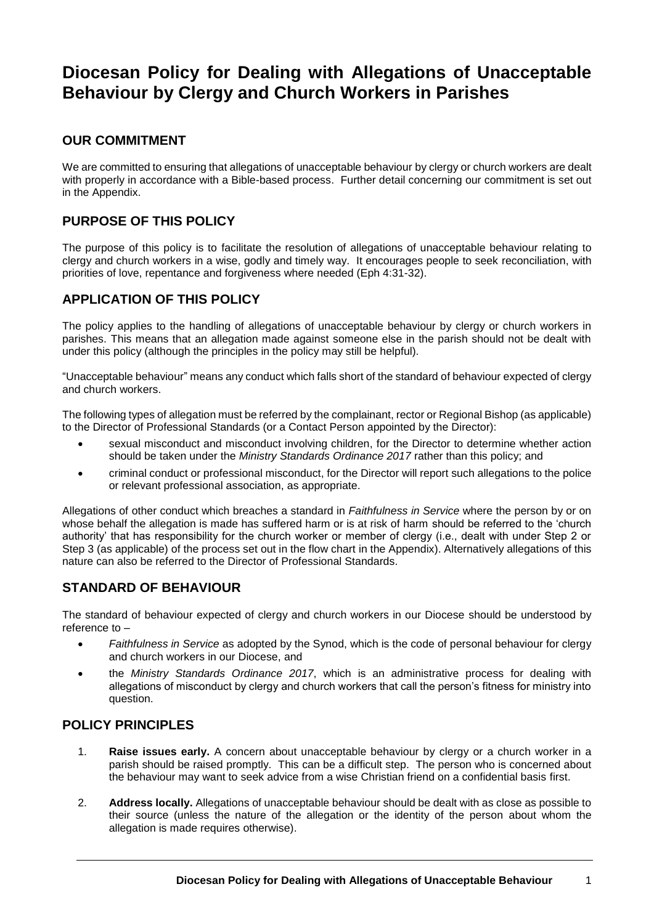# **Diocesan Policy for Dealing with Allegations of Unacceptable Behaviour by Clergy and Church Workers in Parishes**

### **OUR COMMITMENT**

We are committed to ensuring that allegations of unacceptable behaviour by clergy or church workers are dealt with properly in accordance with a Bible-based process. Further detail concerning our commitment is set out in the Appendix.

### **PURPOSE OF THIS POLICY**

The purpose of this policy is to facilitate the resolution of allegations of unacceptable behaviour relating to clergy and church workers in a wise, godly and timely way. It encourages people to seek reconciliation, with priorities of love, repentance and forgiveness where needed (Eph 4:31-32).

### **APPLICATION OF THIS POLICY**

The policy applies to the handling of allegations of unacceptable behaviour by clergy or church workers in parishes. This means that an allegation made against someone else in the parish should not be dealt with under this policy (although the principles in the policy may still be helpful).

"Unacceptable behaviour" means any conduct which falls short of the standard of behaviour expected of clergy and church workers.

The following types of allegation must be referred by the complainant, rector or Regional Bishop (as applicable) to the Director of Professional Standards (or a Contact Person appointed by the Director):

- sexual misconduct and misconduct involving children, for the Director to determine whether action should be taken under the *Ministry Standards Ordinance 2017* rather than this policy; and
- criminal conduct or professional misconduct, for the Director will report such allegations to the police or relevant professional association, as appropriate.

Allegations of other conduct which breaches a standard in *Faithfulness in Service* where the person by or on whose behalf the allegation is made has suffered harm or is at risk of harm should be referred to the 'church authority' that has responsibility for the church worker or member of clergy (i.e., dealt with under Step 2 or Step 3 (as applicable) of the process set out in the flow chart in the Appendix). Alternatively allegations of this nature can also be referred to the Director of Professional Standards.

# **STANDARD OF BEHAVIOUR**

The standard of behaviour expected of clergy and church workers in our Diocese should be understood by reference to –

- *Faithfulness in Service* as adopted by the Synod, which is the code of personal behaviour for clergy and church workers in our Diocese, and
- the *Ministry Standards Ordinance 2017*, which is an administrative process for dealing with allegations of misconduct by clergy and church workers that call the person's fitness for ministry into question.

### **POLICY PRINCIPLES**

- 1. **Raise issues early.** A concern about unacceptable behaviour by clergy or a church worker in a parish should be raised promptly. This can be a difficult step. The person who is concerned about the behaviour may want to seek advice from a wise Christian friend on a confidential basis first.
- 2. **Address locally.** Allegations of unacceptable behaviour should be dealt with as close as possible to their source (unless the nature of the allegation or the identity of the person about whom the allegation is made requires otherwise).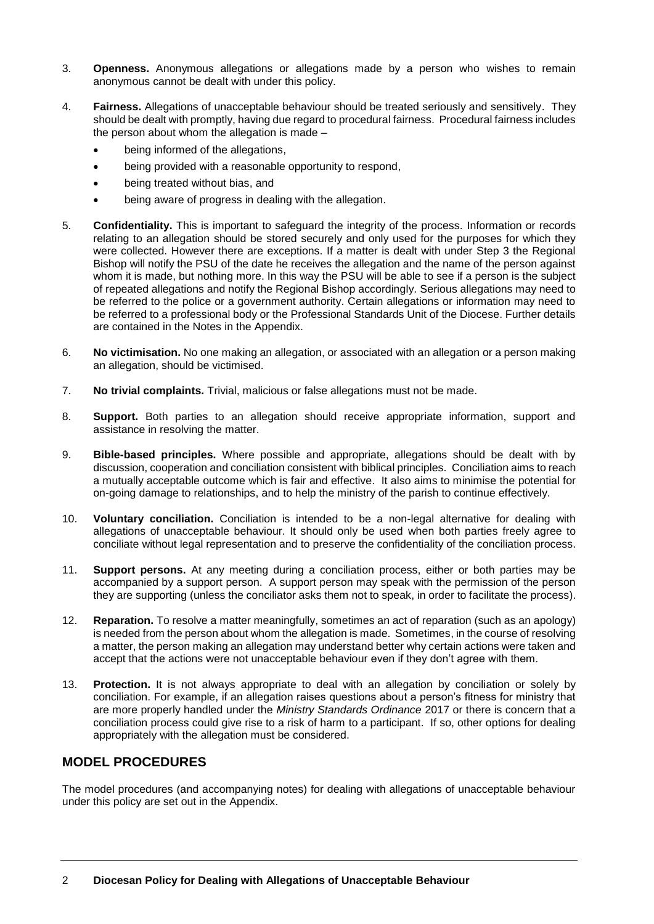- 3. **Openness.** Anonymous allegations or allegations made by a person who wishes to remain anonymous cannot be dealt with under this policy.
- 4. **Fairness.** Allegations of unacceptable behaviour should be treated seriously and sensitively. They should be dealt with promptly, having due regard to procedural fairness. Procedural fairness includes the person about whom the allegation is made –
	- being informed of the allegations,
	- being provided with a reasonable opportunity to respond,
	- being treated without bias, and
	- being aware of progress in dealing with the allegation.
- 5. **Confidentiality.** This is important to safeguard the integrity of the process. Information or records relating to an allegation should be stored securely and only used for the purposes for which they were collected. However there are exceptions. If a matter is dealt with under Step 3 the Regional Bishop will notify the PSU of the date he receives the allegation and the name of the person against whom it is made, but nothing more. In this way the PSU will be able to see if a person is the subject of repeated allegations and notify the Regional Bishop accordingly. Serious allegations may need to be referred to the police or a government authority. Certain allegations or information may need to be referred to a professional body or the Professional Standards Unit of the Diocese. Further details are contained in the Notes in the Appendix.
- 6. **No victimisation.** No one making an allegation, or associated with an allegation or a person making an allegation, should be victimised.
- 7. **No trivial complaints.** Trivial, malicious or false allegations must not be made.
- 8. **Support.** Both parties to an allegation should receive appropriate information, support and assistance in resolving the matter.
- 9. **Bible-based principles.** Where possible and appropriate, allegations should be dealt with by discussion, cooperation and conciliation consistent with biblical principles. Conciliation aims to reach a mutually acceptable outcome which is fair and effective. It also aims to minimise the potential for on-going damage to relationships, and to help the ministry of the parish to continue effectively.
- 10. **Voluntary conciliation.** Conciliation is intended to be a non-legal alternative for dealing with allegations of unacceptable behaviour. It should only be used when both parties freely agree to conciliate without legal representation and to preserve the confidentiality of the conciliation process.
- 11. **Support persons.** At any meeting during a conciliation process, either or both parties may be accompanied by a support person. A support person may speak with the permission of the person they are supporting (unless the conciliator asks them not to speak, in order to facilitate the process).
- 12. **Reparation.** To resolve a matter meaningfully, sometimes an act of reparation (such as an apology) is needed from the person about whom the allegation is made. Sometimes, in the course of resolving a matter, the person making an allegation may understand better why certain actions were taken and accept that the actions were not unacceptable behaviour even if they don't agree with them.
- 13. **Protection.** It is not always appropriate to deal with an allegation by conciliation or solely by conciliation. For example, if an allegation raises questions about a person's fitness for ministry that are more properly handled under the *Ministry Standards Ordinance* 2017 or there is concern that a conciliation process could give rise to a risk of harm to a participant. If so, other options for dealing appropriately with the allegation must be considered.

### **MODEL PROCEDURES**

The model procedures (and accompanying notes) for dealing with allegations of unacceptable behaviour under this policy are set out in the Appendix.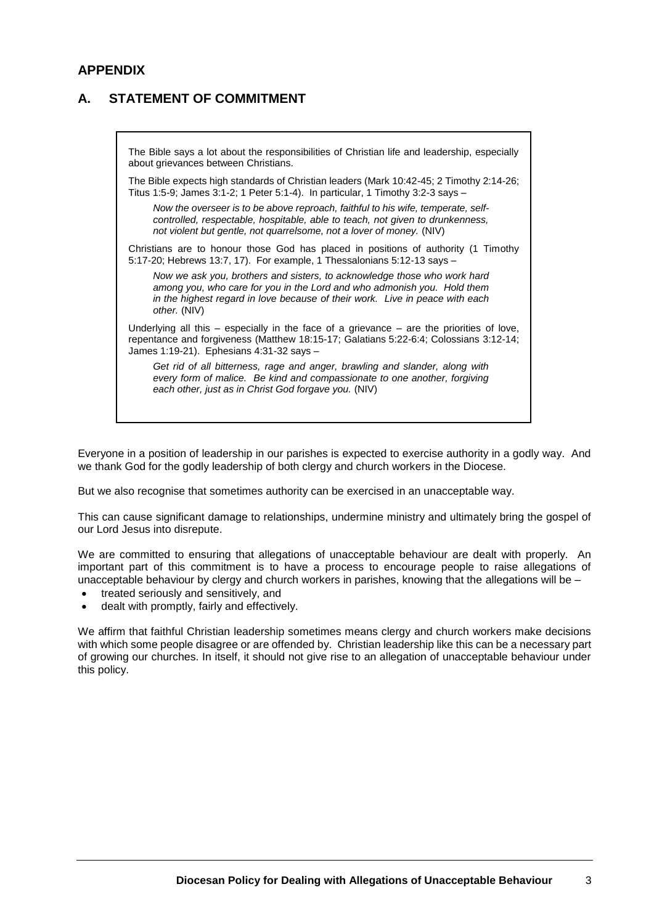### **APPENDIX**

# **A. STATEMENT OF COMMITMENT**

The Bible says a lot about the responsibilities of Christian life and leadership, especially about grievances between Christians. The Bible expects high standards of Christian leaders (Mark 10:42-45; 2 Timothy 2:14-26; Titus 1:5-9; James 3:1-2; 1 Peter 5:1-4). In particular, 1 Timothy 3:2-3 says – *Now the overseer is to be above reproach, faithful to his wife, temperate, selfcontrolled, respectable, hospitable, able to teach, not given to drunkenness, not violent but gentle, not quarrelsome, not a lover of money.* (NIV) Christians are to honour those God has placed in positions of authority (1 Timothy 5:17-20; Hebrews 13:7, 17). For example, 1 Thessalonians 5:12-13 says – *Now we ask you, brothers and sisters, to acknowledge those who work hard among you, who care for you in the Lord and who admonish you. Hold them in the highest regard in love because of their work. Live in peace with each other.* (NIV) Underlying all this – especially in the face of a grievance – are the priorities of love, repentance and forgiveness (Matthew 18:15-17; Galatians 5:22-6:4; Colossians 3:12-14; James 1:19-21). Ephesians 4:31-32 says – *Get rid of all bitterness, rage and anger, brawling and slander, along with* 

*every form of malice. Be kind and compassionate to one another, forgiving each other, just as in Christ God forgave you.* (NIV)

Everyone in a position of leadership in our parishes is expected to exercise authority in a godly way. And we thank God for the godly leadership of both clergy and church workers in the Diocese.

But we also recognise that sometimes authority can be exercised in an unacceptable way.

This can cause significant damage to relationships, undermine ministry and ultimately bring the gospel of our Lord Jesus into disrepute.

We are committed to ensuring that allegations of unacceptable behaviour are dealt with properly. An important part of this commitment is to have a process to encourage people to raise allegations of unacceptable behaviour by clergy and church workers in parishes, knowing that the allegations will be –

- treated seriously and sensitively, and
- dealt with promptly, fairly and effectively.

We affirm that faithful Christian leadership sometimes means clergy and church workers make decisions with which some people disagree or are offended by. Christian leadership like this can be a necessary part of growing our churches. In itself, it should not give rise to an allegation of unacceptable behaviour under this policy.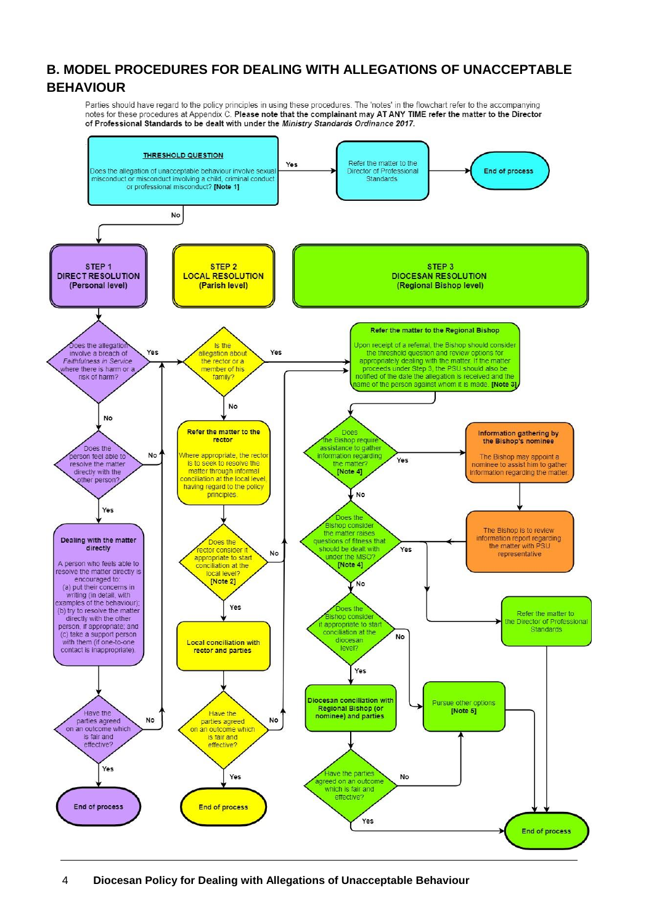# **B. MODEL PROCEDURES FOR DEALING WITH ALLEGATIONS OF UNACCEPTABLE BEHAVIOUR**

Parties should have regard to the policy principles in using these procedures. The 'notes' in the flowchart refer to the accompanying notes for these procedures at Appendix C. Please note that the complainant may AT ANY TIME refer the matter to the Director of Professional Standards to be dealt with under the Ministry Standards Ordinance 2017.

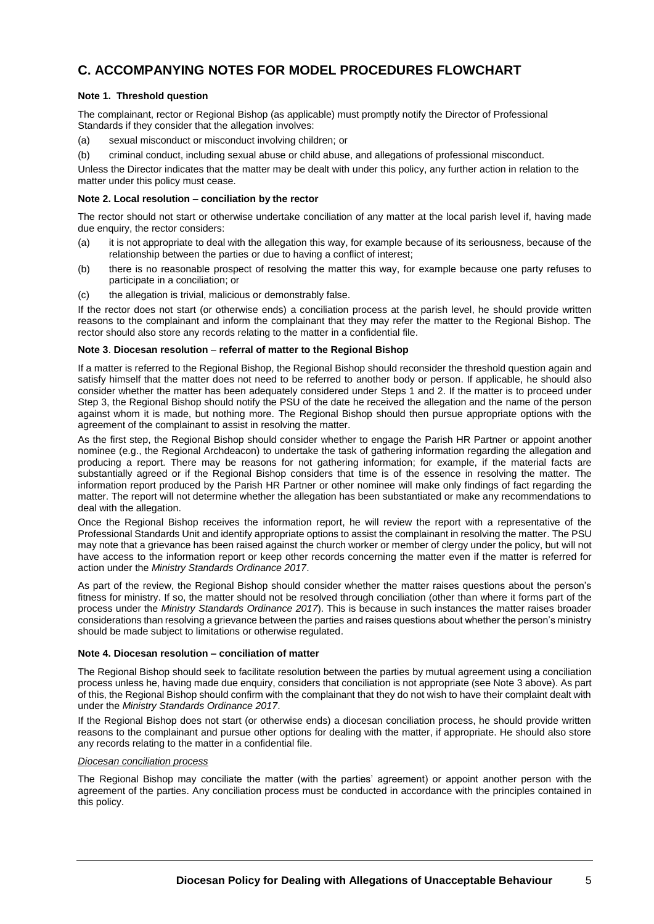### **C. ACCOMPANYING NOTES FOR MODEL PROCEDURES FLOWCHART**

#### **Note 1. Threshold question**

The complainant, rector or Regional Bishop (as applicable) must promptly notify the Director of Professional Standards if they consider that the allegation involves:

- (a) sexual misconduct or misconduct involving children; or
- (b) criminal conduct, including sexual abuse or child abuse, and allegations of professional misconduct.

Unless the Director indicates that the matter may be dealt with under this policy, any further action in relation to the matter under this policy must cease.

#### **Note 2. Local resolution – conciliation by the rector**

The rector should not start or otherwise undertake conciliation of any matter at the local parish level if, having made due enquiry, the rector considers:

- (a) it is not appropriate to deal with the allegation this way, for example because of its seriousness, because of the relationship between the parties or due to having a conflict of interest;
- (b) there is no reasonable prospect of resolving the matter this way, for example because one party refuses to participate in a conciliation; or
- (c) the allegation is trivial, malicious or demonstrably false.

If the rector does not start (or otherwise ends) a conciliation process at the parish level, he should provide written reasons to the complainant and inform the complainant that they may refer the matter to the Regional Bishop. The rector should also store any records relating to the matter in a confidential file.

#### **Note 3**. **Diocesan resolution** – **referral of matter to the Regional Bishop**

If a matter is referred to the Regional Bishop, the Regional Bishop should reconsider the threshold question again and satisfy himself that the matter does not need to be referred to another body or person. If applicable, he should also consider whether the matter has been adequately considered under Steps 1 and 2. If the matter is to proceed under Step 3, the Regional Bishop should notify the PSU of the date he received the allegation and the name of the person against whom it is made, but nothing more. The Regional Bishop should then pursue appropriate options with the agreement of the complainant to assist in resolving the matter.

As the first step, the Regional Bishop should consider whether to engage the Parish HR Partner or appoint another nominee (e.g., the Regional Archdeacon) to undertake the task of gathering information regarding the allegation and producing a report. There may be reasons for not gathering information; for example, if the material facts are substantially agreed or if the Regional Bishop considers that time is of the essence in resolving the matter. The information report produced by the Parish HR Partner or other nominee will make only findings of fact regarding the matter. The report will not determine whether the allegation has been substantiated or make any recommendations to deal with the allegation.

Once the Regional Bishop receives the information report, he will review the report with a representative of the Professional Standards Unit and identify appropriate options to assist the complainant in resolving the matter. The PSU may note that a grievance has been raised against the church worker or member of clergy under the policy, but will not have access to the information report or keep other records concerning the matter even if the matter is referred for action under the *Ministry Standards Ordinance 2017*.

As part of the review, the Regional Bishop should consider whether the matter raises questions about the person's fitness for ministry. If so, the matter should not be resolved through conciliation (other than where it forms part of the process under the *Ministry Standards Ordinance 2017*). This is because in such instances the matter raises broader considerations than resolving a grievance between the parties and raises questions about whether the person's ministry should be made subject to limitations or otherwise regulated.

#### **Note 4. Diocesan resolution – conciliation of matter**

The Regional Bishop should seek to facilitate resolution between the parties by mutual agreement using a conciliation process unless he, having made due enquiry, considers that conciliation is not appropriate (see Note 3 above). As part of this, the Regional Bishop should confirm with the complainant that they do not wish to have their complaint dealt with under the *Ministry Standards Ordinance 2017*.

If the Regional Bishop does not start (or otherwise ends) a diocesan conciliation process, he should provide written reasons to the complainant and pursue other options for dealing with the matter, if appropriate. He should also store any records relating to the matter in a confidential file.

#### *Diocesan conciliation process*

The Regional Bishop may conciliate the matter (with the parties' agreement) or appoint another person with the agreement of the parties. Any conciliation process must be conducted in accordance with the principles contained in this policy.